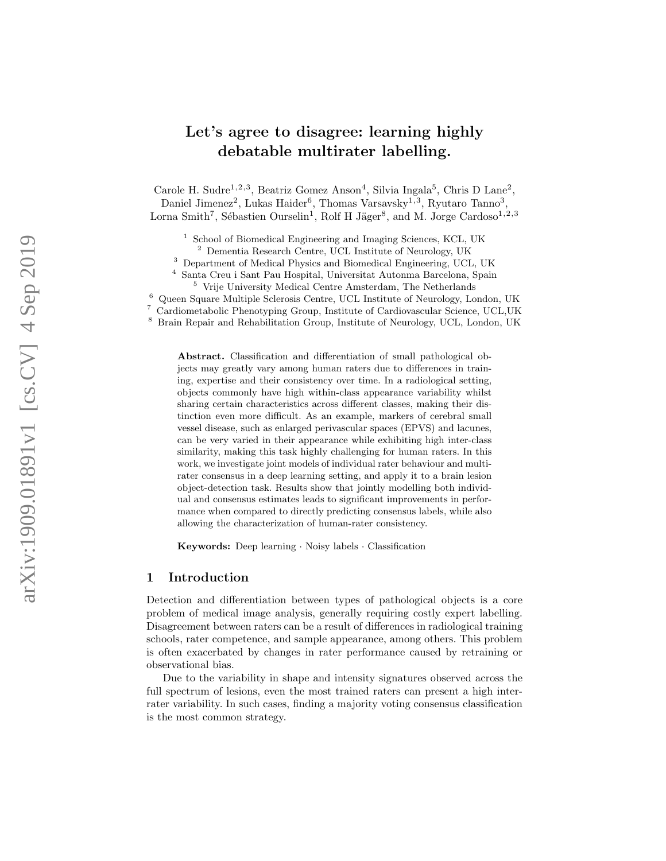# Let's agree to disagree: learning highly debatable multirater labelling.

Carole H. Sudre<sup>1,2,3</sup>, Beatriz Gomez Anson<sup>4</sup>, Silvia Ingala<sup>5</sup>, Chris D Lane<sup>2</sup>,

Daniel Jimenez<sup>2</sup>, Lukas Haider<sup>6</sup>, Thomas Varsavsky<sup>1,3</sup>, Ryutaro Tanno<sup>3</sup>, Lorna Smith<sup>7</sup>, Sébastien Ourselin<sup>1</sup>, Rolf H Jäger<sup>8</sup>, and M. Jorge Cardoso<sup>1,2,3</sup>

<sup>1</sup> School of Biomedical Engineering and Imaging Sciences, KCL, UK

<sup>2</sup> Dementia Research Centre, UCL Institute of Neurology, UK

<sup>3</sup> Department of Medical Physics and Biomedical Engineering, UCL, UK

Santa Creu i Sant Pau Hospital, Universitat Autonma Barcelona, Spain

<sup>5</sup> Vrije University Medical Centre Amsterdam, The Netherlands

<sup>6</sup> Queen Square Multiple Sclerosis Centre, UCL Institute of Neurology, London, UK

<sup>7</sup> Cardiometabolic Phenotyping Group, Institute of Cardiovascular Science, UCL,UK

<sup>8</sup> Brain Repair and Rehabilitation Group, Institute of Neurology, UCL, London, UK

Abstract. Classification and differentiation of small pathological objects may greatly vary among human raters due to differences in training, expertise and their consistency over time. In a radiological setting, objects commonly have high within-class appearance variability whilst sharing certain characteristics across different classes, making their distinction even more difficult. As an example, markers of cerebral small vessel disease, such as enlarged perivascular spaces (EPVS) and lacunes, can be very varied in their appearance while exhibiting high inter-class similarity, making this task highly challenging for human raters. In this work, we investigate joint models of individual rater behaviour and multirater consensus in a deep learning setting, and apply it to a brain lesion object-detection task. Results show that jointly modelling both individual and consensus estimates leads to significant improvements in performance when compared to directly predicting consensus labels, while also allowing the characterization of human-rater consistency.

Keywords: Deep learning · Noisy labels · Classification

## 1 Introduction

Detection and differentiation between types of pathological objects is a core problem of medical image analysis, generally requiring costly expert labelling. Disagreement between raters can be a result of differences in radiological training schools, rater competence, and sample appearance, among others. This problem is often exacerbated by changes in rater performance caused by retraining or observational bias.

Due to the variability in shape and intensity signatures observed across the full spectrum of lesions, even the most trained raters can present a high interrater variability. In such cases, finding a majority voting consensus classification is the most common strategy.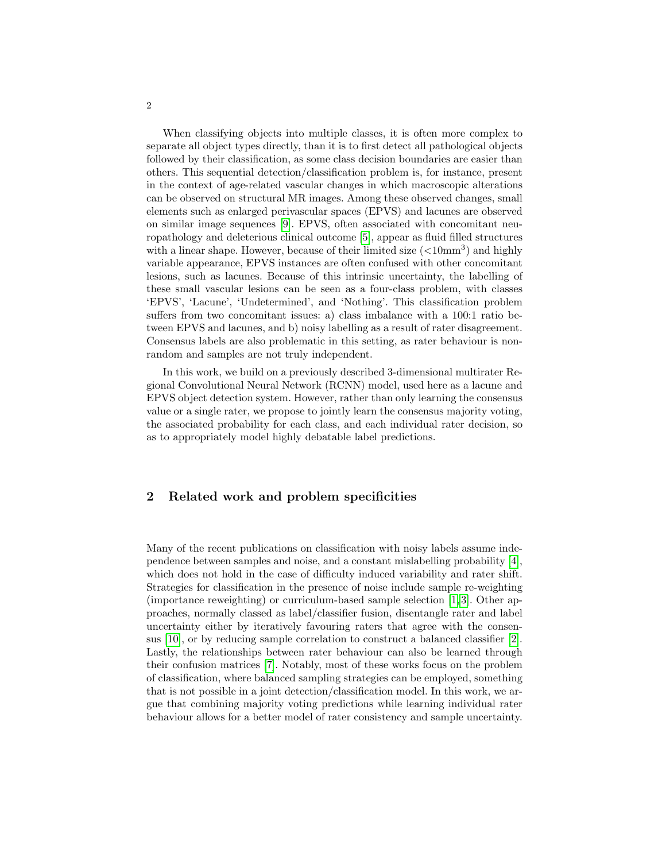When classifying objects into multiple classes, it is often more complex to separate all object types directly, than it is to first detect all pathological objects followed by their classification, as some class decision boundaries are easier than others. This sequential detection/classification problem is, for instance, present in the context of age-related vascular changes in which macroscopic alterations can be observed on structural MR images. Among these observed changes, small elements such as enlarged perivascular spaces (EPVS) and lacunes are observed on similar image sequences [\[9\]](#page-8-0). EPVS, often associated with concomitant neuropathology and deleterious clinical outcome [\[5\]](#page-8-1), appear as fluid filled structures with a linear shape. However, because of their limited size  $(<10<sub>mm</sub>3)$  and highly variable appearance, EPVS instances are often confused with other concomitant lesions, such as lacunes. Because of this intrinsic uncertainty, the labelling of these small vascular lesions can be seen as a four-class problem, with classes 'EPVS', 'Lacune', 'Undetermined', and 'Nothing'. This classification problem suffers from two concomitant issues: a) class imbalance with a 100:1 ratio between EPVS and lacunes, and b) noisy labelling as a result of rater disagreement. Consensus labels are also problematic in this setting, as rater behaviour is nonrandom and samples are not truly independent.

In this work, we build on a previously described 3-dimensional multirater Regional Convolutional Neural Network (RCNN) model, used here as a lacune and EPVS object detection system. However, rather than only learning the consensus value or a single rater, we propose to jointly learn the consensus majority voting, the associated probability for each class, and each individual rater decision, so as to appropriately model highly debatable label predictions.

## 2 Related work and problem specificities

Many of the recent publications on classification with noisy labels assume independence between samples and noise, and a constant mislabelling probability [\[4\]](#page-8-2), which does not hold in the case of difficulty induced variability and rater shift. Strategies for classification in the presence of noise include sample re-weighting (importance reweighting) or curriculum-based sample selection [\[1,](#page-7-0) [3\]](#page-7-1). Other approaches, normally classed as label/classifier fusion, disentangle rater and label uncertainty either by iteratively favouring raters that agree with the consensus [\[10\]](#page-8-3), or by reducing sample correlation to construct a balanced classifier [\[2\]](#page-7-2). Lastly, the relationships between rater behaviour can also be learned through their confusion matrices [\[7\]](#page-8-4). Notably, most of these works focus on the problem of classification, where balanced sampling strategies can be employed, something that is not possible in a joint detection/classification model. In this work, we argue that combining majority voting predictions while learning individual rater behaviour allows for a better model of rater consistency and sample uncertainty.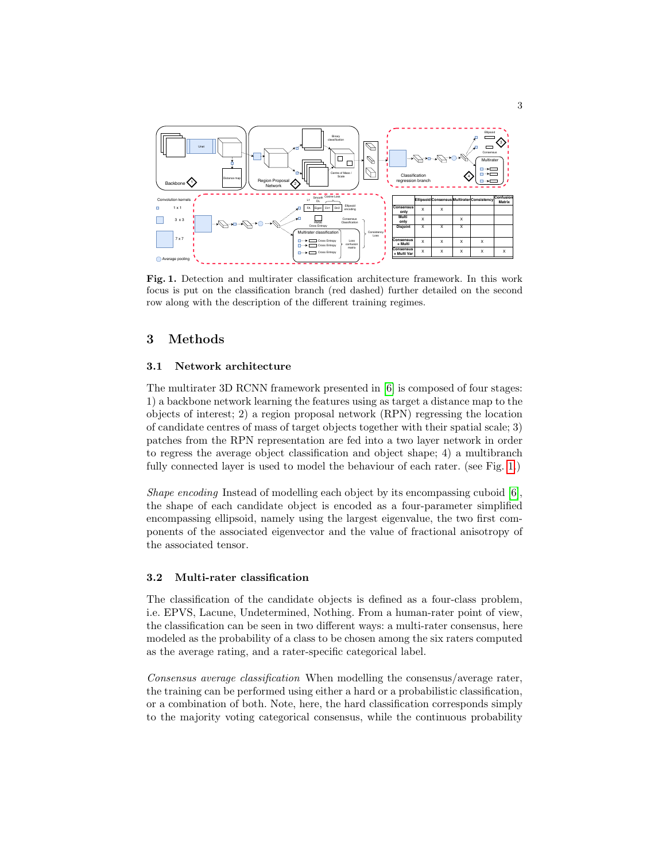

<span id="page-2-0"></span>Fig. 1. Detection and multirater classification architecture framework. In this work focus is put on the classification branch (red dashed) further detailed on the second row along with the description of the different training regimes.

## 3 Methods

#### 3.1 Network architecture

The multirater 3D RCNN framework presented in [\[6\]](#page-8-5) is composed of four stages: 1) a backbone network learning the features using as target a distance map to the objects of interest; 2) a region proposal network (RPN) regressing the location of candidate centres of mass of target objects together with their spatial scale; 3) patches from the RPN representation are fed into a two layer network in order to regress the average object classification and object shape; 4) a multibranch fully connected layer is used to model the behaviour of each rater. (see Fig. [1.](#page-2-0))

Shape encoding Instead of modelling each object by its encompassing cuboid [\[6\]](#page-8-5), the shape of each candidate object is encoded as a four-parameter simplified encompassing ellipsoid, namely using the largest eigenvalue, the two first components of the associated eigenvector and the value of fractional anisotropy of the associated tensor.

#### 3.2 Multi-rater classification

The classification of the candidate objects is defined as a four-class problem, i.e. EPVS, Lacune, Undetermined, Nothing. From a human-rater point of view, the classification can be seen in two different ways: a multi-rater consensus, here modeled as the probability of a class to be chosen among the six raters computed as the average rating, and a rater-specific categorical label.

Consensus average classification When modelling the consensus/average rater, the training can be performed using either a hard or a probabilistic classification, or a combination of both. Note, here, the hard classification corresponds simply to the majority voting categorical consensus, while the continuous probability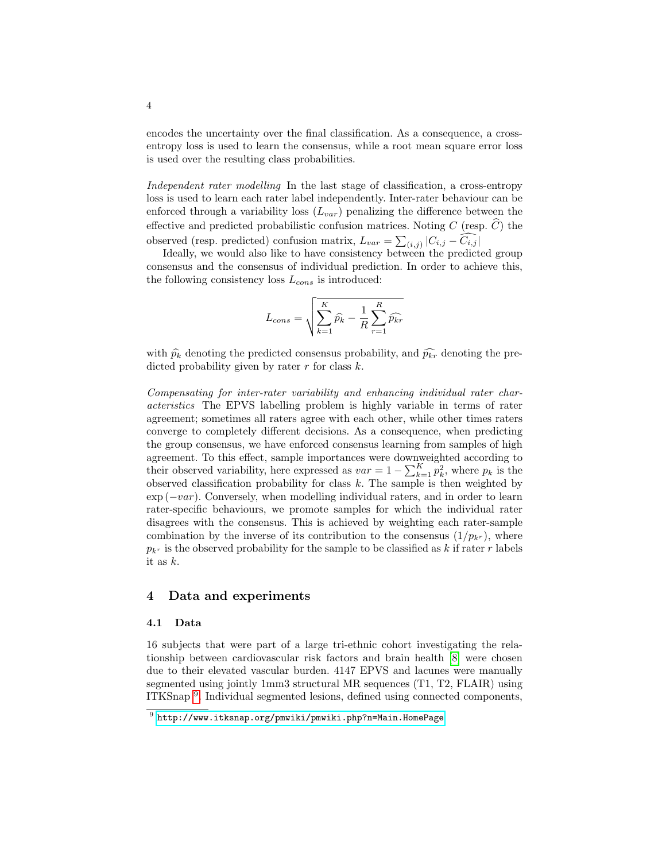encodes the uncertainty over the final classification. As a consequence, a crossentropy loss is used to learn the consensus, while a root mean square error loss is used over the resulting class probabilities.

Independent rater modelling In the last stage of classification, a cross-entropy loss is used to learn each rater label independently. Inter-rater behaviour can be enforced through a variability loss  $(L_{var})$  penalizing the difference between the effective and predicted probabilistic confusion matrices. Noting C (resp.  $\widehat{C}$ ) the observed (resp. predicted) confusion matrix,  $L_{var} = \sum_{(i,j)} |C_{i,j} - C_{i,j}|$ 

Ideally, we would also like to have consistency between the predicted group consensus and the consensus of individual prediction. In order to achieve this, the following consistency loss  $L_{cons}$  is introduced:

$$
L_{cons} = \sqrt{\sum_{k=1}^{K} \hat{p}_k - \frac{1}{R} \sum_{r=1}^{R} \hat{p}_{kr}}
$$

with  $\hat{p}_k$  denoting the predicted consensus probability, and  $\hat{p}_{kr}$  denoting the predicted probability given by rater  $r$  for class  $k$ .

Compensating for inter-rater variability and enhancing individual rater characteristics The EPVS labelling problem is highly variable in terms of rater agreement; sometimes all raters agree with each other, while other times raters converge to completely different decisions. As a consequence, when predicting the group consensus, we have enforced consensus learning from samples of high agreement. To this effect, sample importances were downweighted according to their observed variability, here expressed as  $var = 1 - \sum_{k=1}^{K} p_k^2$ , where  $p_k$  is the observed classification probability for class  $k$ . The sample is then weighted by  $\exp(-var)$ . Conversely, when modelling individual raters, and in order to learn rater-specific behaviours, we promote samples for which the individual rater disagrees with the consensus. This is achieved by weighting each rater-sample combination by the inverse of its contribution to the consensus  $(1/p_{k^r})$ , where  $p_{k_r}$  is the observed probability for the sample to be classified as k if rater r labels it as k.

#### 4 Data and experiments

#### 4.1 Data

16 subjects that were part of a large tri-ethnic cohort investigating the relationship between cardiovascular risk factors and brain health [\[8\]](#page-8-6) were chosen due to their elevated vascular burden. 4147 EPVS and lacunes were manually segmented using jointly 1mm3 structural MR sequences (T1, T2, FLAIR) using ITKSnap<sup>[9](#page-3-0)</sup>. Individual segmented lesions, defined using connected components,

<span id="page-3-0"></span> $^9$  <http://www.itksnap.org/pmwiki/pmwiki.php?n=Main.HomePage>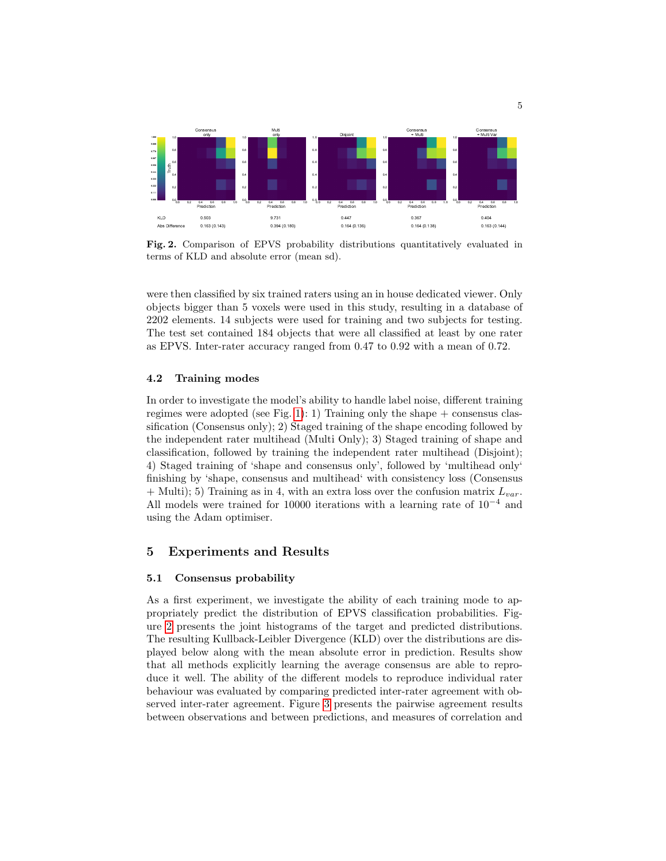

<span id="page-4-0"></span>Fig. 2. Comparison of EPVS probability distributions quantitatively evaluated in terms of KLD and absolute error (mean sd).

were then classified by six trained raters using an in house dedicated viewer. Only objects bigger than 5 voxels were used in this study, resulting in a database of 2202 elements. 14 subjects were used for training and two subjects for testing. The test set contained 184 objects that were all classified at least by one rater as EPVS. Inter-rater accuracy ranged from 0.47 to 0.92 with a mean of 0.72.

#### 4.2 Training modes

In order to investigate the model's ability to handle label noise, different training regimes were adopted (see Fig. [1\)](#page-2-0): 1) Training only the shape  $+$  consensus classification (Consensus only); 2) Staged training of the shape encoding followed by the independent rater multihead (Multi Only); 3) Staged training of shape and classification, followed by training the independent rater multihead (Disjoint); 4) Staged training of 'shape and consensus only', followed by 'multihead only' finishing by 'shape, consensus and multihead' with consistency loss (Consensus  $+$  Multi); 5) Training as in 4, with an extra loss over the confusion matrix  $L_{var}$ . All models were trained for 10000 iterations with a learning rate of  $10^{-4}$  and using the Adam optimiser.

## 5 Experiments and Results

#### 5.1 Consensus probability

As a first experiment, we investigate the ability of each training mode to appropriately predict the distribution of EPVS classification probabilities. Figure [2](#page-4-0) presents the joint histograms of the target and predicted distributions. The resulting Kullback-Leibler Divergence (KLD) over the distributions are displayed below along with the mean absolute error in prediction. Results show that all methods explicitly learning the average consensus are able to reproduce it well. The ability of the different models to reproduce individual rater behaviour was evaluated by comparing predicted inter-rater agreement with observed inter-rater agreement. Figure [3](#page-5-0) presents the pairwise agreement results between observations and between predictions, and measures of correlation and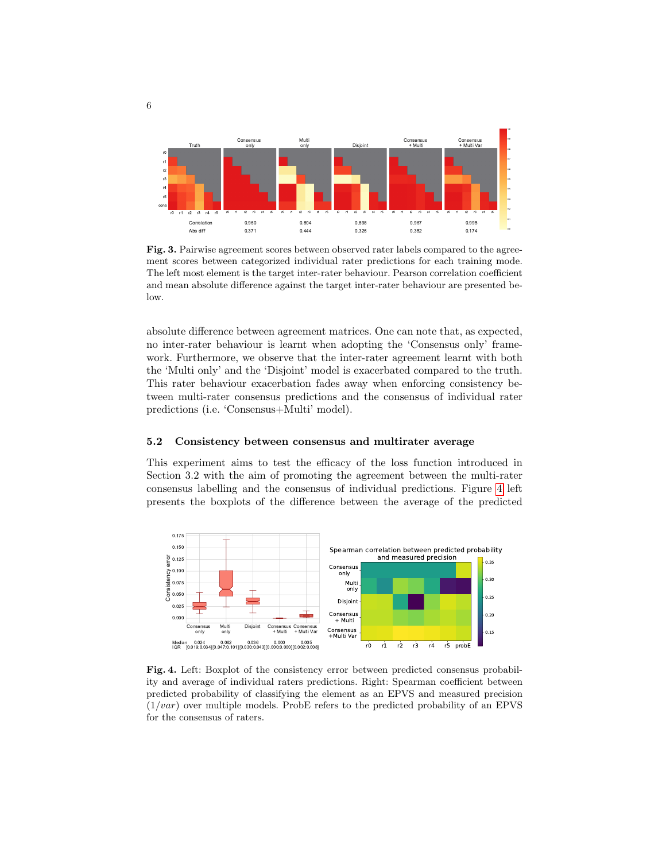

<span id="page-5-0"></span>Fig. 3. Pairwise agreement scores between observed rater labels compared to the agreement scores between categorized individual rater predictions for each training mode. The left most element is the target inter-rater behaviour. Pearson correlation coefficient and mean absolute difference against the target inter-rater behaviour are presented below.

absolute difference between agreement matrices. One can note that, as expected, no inter-rater behaviour is learnt when adopting the 'Consensus only' framework. Furthermore, we observe that the inter-rater agreement learnt with both the 'Multi only' and the 'Disjoint' model is exacerbated compared to the truth. This rater behaviour exacerbation fades away when enforcing consistency between multi-rater consensus predictions and the consensus of individual rater predictions (i.e. 'Consensus+Multi' model).

#### 5.2 Consistency between consensus and multirater average

This experiment aims to test the efficacy of the loss function introduced in Section 3.2 with the aim of promoting the agreement between the multi-rater consensus labelling and the consensus of individual predictions. Figure [4](#page-5-1) left presents the boxplots of the difference between the average of the predicted



<span id="page-5-1"></span>Fig. 4. Left: Boxplot of the consistency error between predicted consensus probability and average of individual raters predictions. Right: Spearman coefficient between predicted probability of classifying the element as an EPVS and measured precision  $(1/var)$  over multiple models. ProbE refers to the predicted probability of an EPVS for the consensus of raters.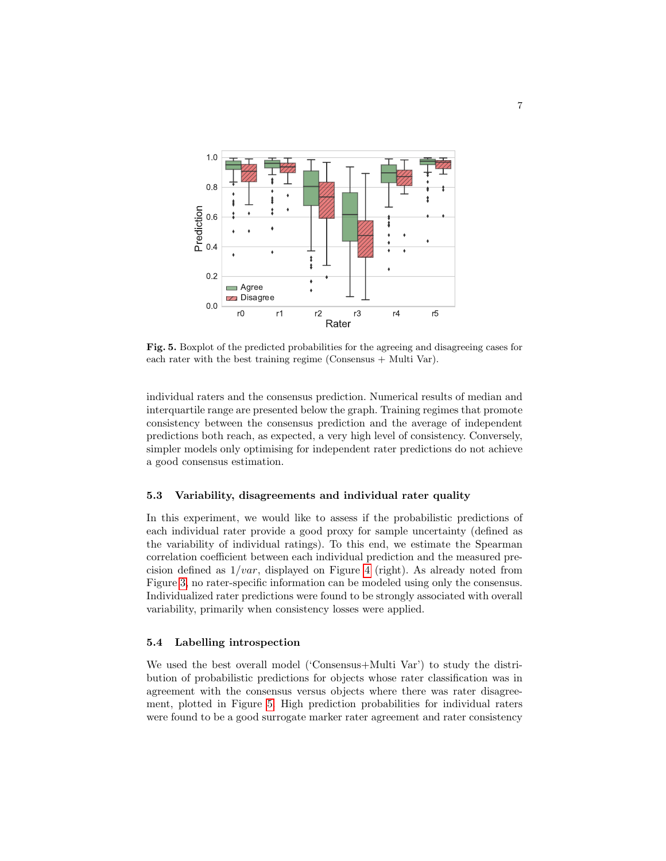

<span id="page-6-0"></span>Fig. 5. Boxplot of the predicted probabilities for the agreeing and disagreeing cases for each rater with the best training regime (Consensus  $+$  Multi Var).

individual raters and the consensus prediction. Numerical results of median and interquartile range are presented below the graph. Training regimes that promote consistency between the consensus prediction and the average of independent predictions both reach, as expected, a very high level of consistency. Conversely, simpler models only optimising for independent rater predictions do not achieve a good consensus estimation.

#### 5.3 Variability, disagreements and individual rater quality

In this experiment, we would like to assess if the probabilistic predictions of each individual rater provide a good proxy for sample uncertainty (defined as the variability of individual ratings). To this end, we estimate the Spearman correlation coefficient between each individual prediction and the measured precision defined as  $1/var$ , displayed on Figure [4](#page-5-1) (right). As already noted from Figure [3,](#page-5-0) no rater-specific information can be modeled using only the consensus. Individualized rater predictions were found to be strongly associated with overall variability, primarily when consistency losses were applied.

#### 5.4 Labelling introspection

We used the best overall model ('Consensus+Multi Var') to study the distribution of probabilistic predictions for objects whose rater classification was in agreement with the consensus versus objects where there was rater disagreement, plotted in Figure [5.](#page-6-0) High prediction probabilities for individual raters were found to be a good surrogate marker rater agreement and rater consistency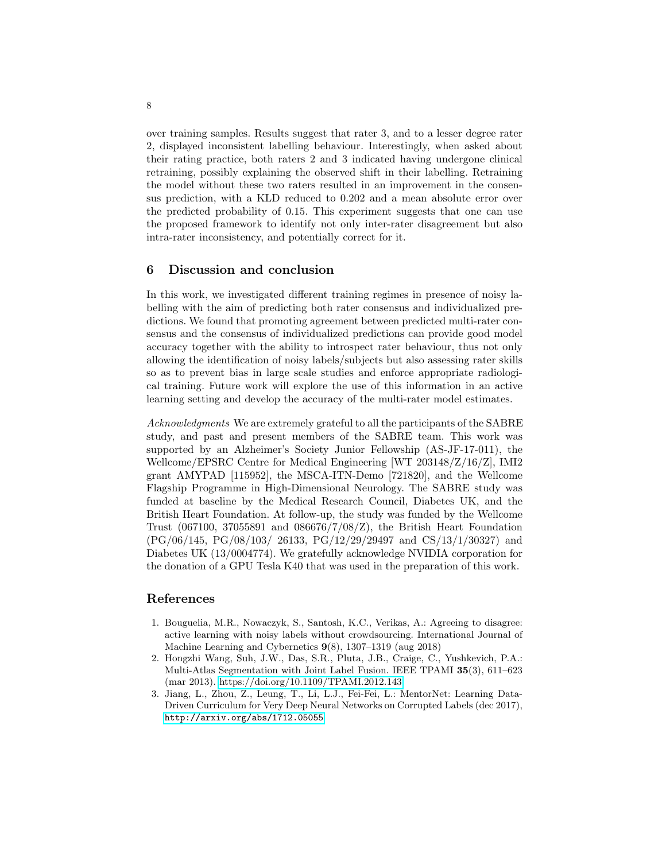over training samples. Results suggest that rater 3, and to a lesser degree rater 2, displayed inconsistent labelling behaviour. Interestingly, when asked about their rating practice, both raters 2 and 3 indicated having undergone clinical retraining, possibly explaining the observed shift in their labelling. Retraining the model without these two raters resulted in an improvement in the consensus prediction, with a KLD reduced to 0.202 and a mean absolute error over the predicted probability of 0.15. This experiment suggests that one can use the proposed framework to identify not only inter-rater disagreement but also intra-rater inconsistency, and potentially correct for it.

### 6 Discussion and conclusion

In this work, we investigated different training regimes in presence of noisy labelling with the aim of predicting both rater consensus and individualized predictions. We found that promoting agreement between predicted multi-rater consensus and the consensus of individualized predictions can provide good model accuracy together with the ability to introspect rater behaviour, thus not only allowing the identification of noisy labels/subjects but also assessing rater skills so as to prevent bias in large scale studies and enforce appropriate radiological training. Future work will explore the use of this information in an active learning setting and develop the accuracy of the multi-rater model estimates.

Acknowledgments We are extremely grateful to all the participants of the SABRE study, and past and present members of the SABRE team. This work was supported by an Alzheimer's Society Junior Fellowship (AS-JF-17-011), the Wellcome/EPSRC Centre for Medical Engineering [WT 203148/Z/16/Z], IMI2 grant AMYPAD [115952], the MSCA-ITN-Demo [721820], and the Wellcome Flagship Programme in High-Dimensional Neurology. The SABRE study was funded at baseline by the Medical Research Council, Diabetes UK, and the British Heart Foundation. At follow-up, the study was funded by the Wellcome Trust (067100, 37055891 and 086676/7/08/Z), the British Heart Foundation (PG/06/145, PG/08/103/ 26133, PG/12/29/29497 and CS/13/1/30327) and Diabetes UK (13/0004774). We gratefully acknowledge NVIDIA corporation for the donation of a GPU Tesla K40 that was used in the preparation of this work.

# References

- <span id="page-7-0"></span>1. Bouguelia, M.R., Nowaczyk, S., Santosh, K.C., Verikas, A.: Agreeing to disagree: active learning with noisy labels without crowdsourcing. International Journal of Machine Learning and Cybernetics 9(8), 1307–1319 (aug 2018)
- <span id="page-7-2"></span>2. Hongzhi Wang, Suh, J.W., Das, S.R., Pluta, J.B., Craige, C., Yushkevich, P.A.: Multi-Atlas Segmentation with Joint Label Fusion. IEEE TPAMI 35(3), 611–623 (mar 2013).<https://doi.org/10.1109/TPAMI.2012.143>
- <span id="page-7-1"></span>3. Jiang, L., Zhou, Z., Leung, T., Li, L.J., Fei-Fei, L.: MentorNet: Learning Data-Driven Curriculum for Very Deep Neural Networks on Corrupted Labels (dec 2017), <http://arxiv.org/abs/1712.05055>